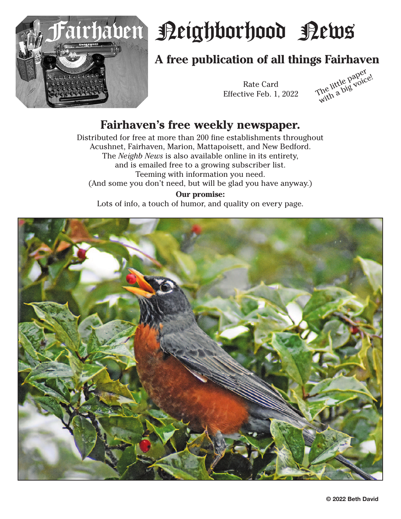

# airhaven Peighborhood Pews

## **A free publication of all things Fairhaven**

Rate Card

Rate Card<br>Effective Feb. 1, 2022 The little paper<br>With a big voice!

### **Fairhaven's free weekly newspaper.**

Distributed for free at more than 200 fine establishments throughout Acushnet, Fairhaven, Marion, Mattapoisett, and New Bedford. The *Neighb News* is also available online in its entirety, and is emailed free to a growing subscriber list. Teeming with information you need. (And some you don't need, but will be glad you have anyway.)

**Our promise:** Lots of info, a touch of humor, and quality on every page.

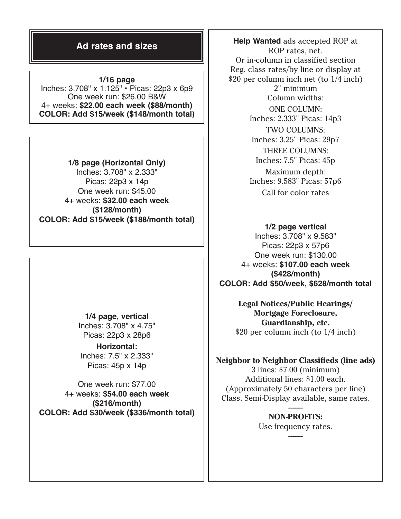### **Ad rates and sizes**

**1/16 page** Inches: 3.708" x 1.125" • Picas: 22p3 x 6p9 One week run: \$26.00 B&W 4+ weeks: **\$22.00 each week (\$88/month) COLOR: Add \$15/week (\$148/month total)**

**1/8 page (Horizontal Only)** Inches: 3.708" x 2.333" Picas: 22p3 x 14p One week run: \$45.00 4+ weeks: **\$32.00 each week (\$128/month) COLOR: Add \$15/week (\$188/month total) 1/2 page vertical**

> **1/4 page, vertical** Inches: 3.708" x 4.75" Picas: 22p3 x 28p6

**Horizontal:** Inches: 7.5" x 2.333" Picas: 45p x 14p

One week run: \$77.00 4+ weeks: **\$54.00 each week (\$216/month) COLOR: Add \$30/week (\$336/month total)**

**Help Wanted** ads accepted ROP at ROP rates, net. Or in-column in classified section Reg. class rates/by line or display at \$20 per column inch net (to 1/4 inch) 2" minimum Column widths: ONE COLUMN: Inches: 2.333" Picas: 14p3 TWO COLUMNS: Inches: 3.25" Picas: 29p7 THREE COLUMNS: Inches: 7.5" Picas: 45p Maximum depth: Inches: 9.583" Picas: 57p6 Call for color rates

Inches: 3.708" x 9.583" Picas: 22p3 x 57p6 One week run: \$130.00 4+ weeks: **\$107.00 each week (\$428/month) COLOR: Add \$50/week, \$628/month total**

> **Legal Notices/Public Hearings/ Mortgage Foreclosure, Guardianship, etc.** \$20 per column inch (to 1/4 inch)

**Neighbor to Neighbor Classifieds (line ads)** 3 lines: \$7.00 (minimum) Additional lines: \$1.00 each. (Approximately 50 characters per line) Class. Semi-Display available, same rates.

> **NON-PROFITS:** Use frequency rates.

> > -------

-------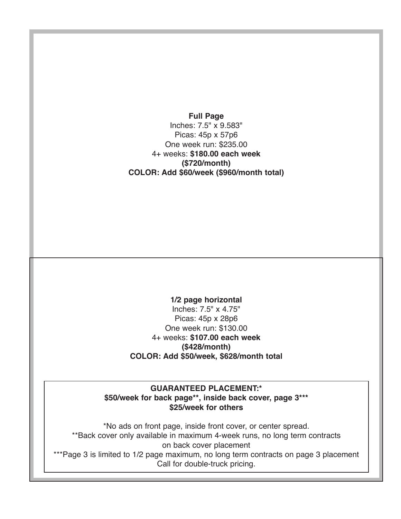**Full Page** Inches: 7.5" x 9.583" Picas: 45p x 57p6 One week run: \$235.00 4+ weeks: **\$180.00 each week (\$720/month) COLOR: Add \$60/week (\$960/month total)**

**1/2 page horizontal** Inches: 7.5" x 4.75" Picas: 45p x 28p6 One week run: \$130.00 4+ weeks: **\$107.00 each week (\$428/month) COLOR: Add \$50/week, \$628/month total**

**GUARANTEED PLACEMENT:\* \$50/week for back page\*\*, inside back cover, page 3\*\*\* \$25/week for others**

\*No ads on front page, inside front cover, or center spread. \*\*Back cover only available in maximum 4-week runs, no long term contracts on back cover placement \*\*\*Page 3 is limited to 1/2 page maximum, no long term contracts on page 3 placement Call for double-truck pricing.